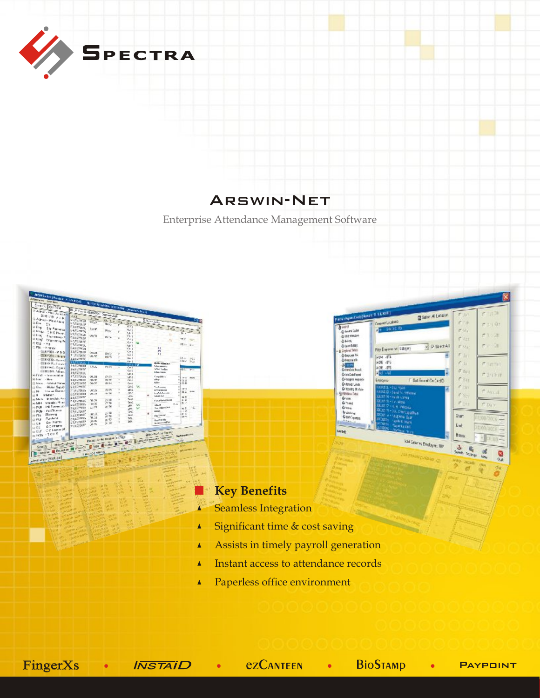

## Arswin-Net

Enterprise Attendance Management Software





# Key Benefits

- Seamless Integration
- Significant time & cost saving  $\blacktriangle$
- Assists in timely payroll generation  $\blacktriangle$
- Instant access to attendance records  $\blacktriangle$
- $\blacktriangle$ Paperless office environment

 $FingerXs$  •  $I\overline{NSTAI}D$  •  $EZCANTEEN$  •  $BioS$ TAMP • PAYPOINT